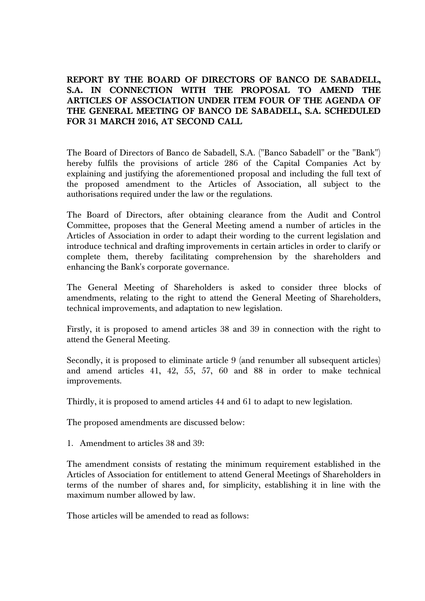**REPORT BY THE BOARD OF DIRECTORS OF BANCO DE SABADELL, S.A. IN CONNECTION WITH THE PROPOSAL TO AMEND THE ARTICLES OF ASSOCIATION UNDER ITEM FOUR OF THE AGENDA OF THE GENERAL MEETING OF BANCO DE SABADELL, S.A. SCHEDULED FOR 31 MARCH 2016, AT SECOND CALL** 

The Board of Directors of Banco de Sabadell, S.A. ("Banco Sabadell" or the "Bank") hereby fulfils the provisions of article 286 of the Capital Companies Act by explaining and justifying the aforementioned proposal and including the full text of the proposed amendment to the Articles of Association, all subject to the authorisations required under the law or the regulations.

The Board of Directors, after obtaining clearance from the Audit and Control Committee, proposes that the General Meeting amend a number of articles in the Articles of Association in order to adapt their wording to the current legislation and introduce technical and drafting improvements in certain articles in order to clarify or complete them, thereby facilitating comprehension by the shareholders and enhancing the Bank's corporate governance.

The General Meeting of Shareholders is asked to consider three blocks of amendments, relating to the right to attend the General Meeting of Shareholders, technical improvements, and adaptation to new legislation.

Firstly, it is proposed to amend articles 38 and 39 in connection with the right to attend the General Meeting.

Secondly, it is proposed to eliminate article 9 (and renumber all subsequent articles) and amend articles 41, 42, 55, 57, 60 and 88 in order to make technical improvements.

Thirdly, it is proposed to amend articles 44 and 61 to adapt to new legislation.

The proposed amendments are discussed below:

1. Amendment to articles 38 and 39:

The amendment consists of restating the minimum requirement established in the Articles of Association for entitlement to attend General Meetings of Shareholders in terms of the number of shares and, for simplicity, establishing it in line with the maximum number allowed by law.

Those articles will be amended to read as follows: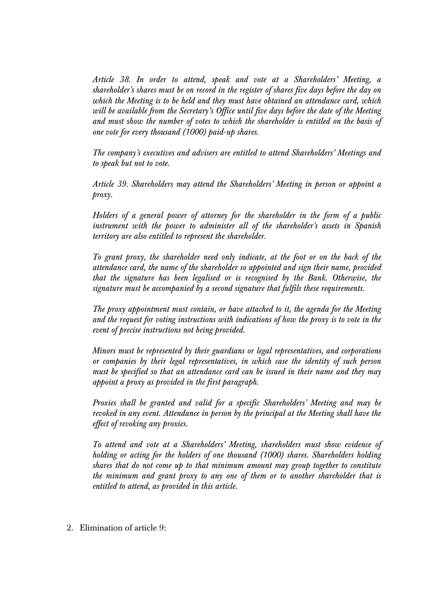*Article 38. In order to attend, speak and vote at a Shareholders' Meeting, a shareholder's shares must be on record in the register of shares five days before the day on which the Meeting is to be held and they must have obtained an attendance card, which will be available from the Secretary's Office until five days before the date of the Meeting and must show the number of votes to which the shareholder is entitled on the basis of one vote for every thousand (1000) paid-up shares.* 

*The company's executives and advisers are entitled to attend Shareholders' Meetings and to speak but not to vote.* 

*Article 39. Shareholders may attend the Shareholders' Meeting in person or appoint a proxy.* 

*Holders of a general power of attorney for the shareholder in the form of a public instrument with the power to administer all of the shareholder's assets in Spanish territory are also entitled to represent the shareholder.* 

*To grant proxy, the shareholder need only indicate, at the foot or on the back of the attendance card, the name of the shareholder so appointed and sign their name, provided that the signature has been legalised or is recognised by the Bank. Otherwise, the signature must be accompanied by a second signature that fulfils these requirements.* 

*The proxy appointment must contain, or have attached to it, the agenda for the Meeting and the request for voting instructions with indications of how the proxy is to vote in the event of precise instructions not being provided.* 

*Minors must be represented by their guardians or legal representatives, and corporations or companies by their legal representatives, in which case the identity of such person must be specified so that an attendance card can be issued in their name and they may appoint a proxy as provided in the first paragraph.*

*Proxies shall be granted and valid for a specific Shareholders' Meeting and may be revoked in any event. Attendance in person by the principal at the Meeting shall have the effect of revoking any proxies.* 

*To attend and vote at a Shareholders' Meeting, shareholders must show evidence of holding or acting for the holders of one thousand (1000) shares. Shareholders holding shares that do not come up to that minimum amount may group together to constitute the minimum and grant proxy to any one of them or to another shareholder that is entitled to attend, as provided in this article.* 

2. Elimination of article 9: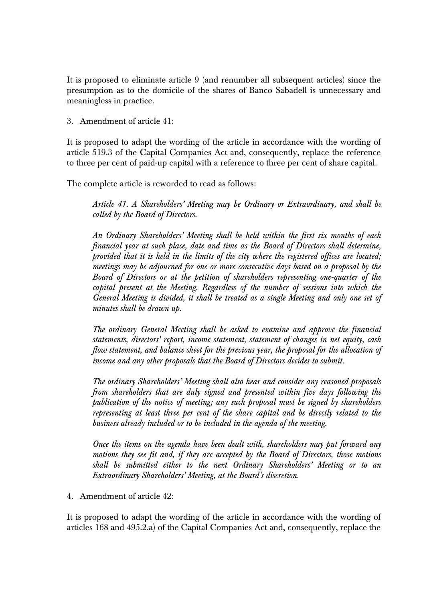It is proposed to eliminate article 9 (and renumber all subsequent articles) since the presumption as to the domicile of the shares of Banco Sabadell is unnecessary and meaningless in practice.

3. Amendment of article 41:

It is proposed to adapt the wording of the article in accordance with the wording of article 519.3 of the Capital Companies Act and, consequently, replace the reference to three per cent of paid-up capital with a reference to three per cent of share capital.

The complete article is reworded to read as follows:

*Article 41. A Shareholders' Meeting may be Ordinary or Extraordinary, and shall be called by the Board of Directors.* 

*An Ordinary Shareholders' Meeting shall be held within the first six months of each financial year at such place, date and time as the Board of Directors shall determine, provided that it is held in the limits of the city where the registered offices are located; meetings may be adjourned for one or more consecutive days based on a proposal by the Board of Directors or at the petition of shareholders representing one-quarter of the capital present at the Meeting. Regardless of the number of sessions into which the General Meeting is divided, it shall be treated as a single Meeting and only one set of minutes shall be drawn up.* 

*The ordinary General Meeting shall be asked to examine and approve the financial statements, directors' report, income statement, statement of changes in net equity, cash flow statement, and balance sheet for the previous year, the proposal for the allocation of income and any other proposals that the Board of Directors decides to submit.* 

*The ordinary Shareholders' Meeting shall also hear and consider any reasoned proposals from shareholders that are duly signed and presented within five days following the publication of the notice of meeting; any such proposal must be signed by shareholders representing at least three per cent of the share capital and be directly related to the business already included or to be included in the agenda of the meeting.* 

*Once the items on the agenda have been dealt with, shareholders may put forward any motions they see fit and, if they are accepted by the Board of Directors, those motions shall be submitted either to the next Ordinary Shareholders' Meeting or to an Extraordinary Shareholders' Meeting, at the Board's discretion.* 

4. Amendment of article 42:

It is proposed to adapt the wording of the article in accordance with the wording of articles 168 and 495.2.a) of the Capital Companies Act and, consequently, replace the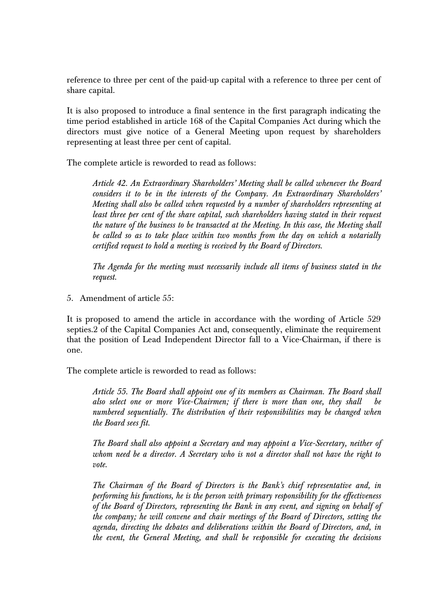reference to three per cent of the paid-up capital with a reference to three per cent of share capital.

It is also proposed to introduce a final sentence in the first paragraph indicating the time period established in article 168 of the Capital Companies Act during which the directors must give notice of a General Meeting upon request by shareholders representing at least three per cent of capital.

The complete article is reworded to read as follows:

*Article 42. An Extraordinary Shareholders' Meeting shall be called whenever the Board considers it to be in the interests of the Company. An Extraordinary Shareholders' Meeting shall also be called when requested by a number of shareholders representing at least three per cent of the share capital, such shareholders having stated in their request the nature of the business to be transacted at the Meeting. In this case, the Meeting shall be called so as to take place within two months from the day on which a notarially certified request to hold a meeting is received by the Board of Directors.* 

*The Agenda for the meeting must necessarily include all items of business stated in the request.* 

5. Amendment of article 55:

It is proposed to amend the article in accordance with the wording of Article 529 septies.2 of the Capital Companies Act and, consequently, eliminate the requirement that the position of Lead Independent Director fall to a Vice-Chairman, if there is one.

The complete article is reworded to read as follows:

*Article 55. The Board shall appoint one of its members as Chairman. The Board shall also select one or more Vice-Chairmen; if there is more than one, they shall be numbered sequentially. The distribution of their responsibilities may be changed when the Board sees fit.* 

*The Board shall also appoint a Secretary and may appoint a Vice-Secretary, neither of whom need be a director. A Secretary who is not a director shall not have the right to vote.* 

*The Chairman of the Board of Directors is the Bank's chief representative and, in performing his functions, he is the person with primary responsibility for the effectiveness of the Board of Directors, representing the Bank in any event, and signing on behalf of the company; he will convene and chair meetings of the Board of Directors, setting the agenda, directing the debates and deliberations within the Board of Directors, and, in the event, the General Meeting, and shall be responsible for executing the decisions*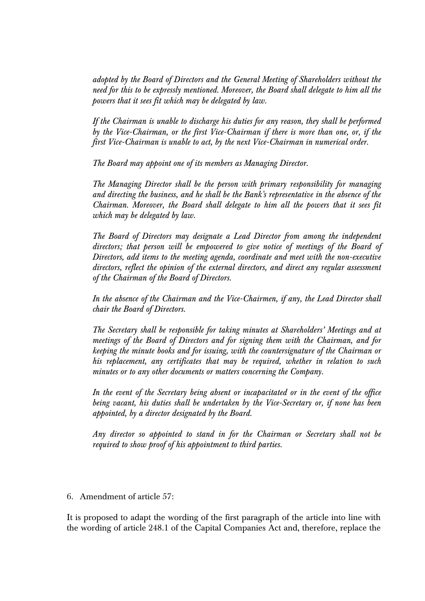*adopted by the Board of Directors and the General Meeting of Shareholders without the need for this to be expressly mentioned. Moreover, the Board shall delegate to him all the powers that it sees fit which may be delegated by law.* 

*If the Chairman is unable to discharge his duties for any reason, they shall be performed by the Vice-Chairman, or the first Vice-Chairman if there is more than one, or, if the first Vice-Chairman is unable to act, by the next Vice-Chairman in numerical order.* 

*The Board may appoint one of its members as Managing Director.* 

*The Managing Director shall be the person with primary responsibility for managing and directing the business, and he shall be the Bank's representative in the absence of the Chairman. Moreover, the Board shall delegate to him all the powers that it sees fit which may be delegated by law.* 

*The Board of Directors may designate a Lead Director from among the independent directors; that person will be empowered to give notice of meetings of the Board of Directors, add items to the meeting agenda, coordinate and meet with the non-executive directors, reflect the opinion of the external directors, and direct any regular assessment of the Chairman of the Board of Directors.* 

*In the absence of the Chairman and the Vice-Chairmen, if any, the Lead Director shall chair the Board of Directors.* 

*The Secretary shall be responsible for taking minutes at Shareholders' Meetings and at meetings of the Board of Directors and for signing them with the Chairman, and for keeping the minute books and for issuing, with the countersignature of the Chairman or his replacement, any certificates that may be required, whether in relation to such minutes or to any other documents or matters concerning the Company.* 

*In the event of the Secretary being absent or incapacitated or in the event of the office being vacant, his duties shall be undertaken by the Vice-Secretary or, if none has been appointed, by a director designated by the Board.* 

*Any director so appointed to stand in for the Chairman or Secretary shall not be required to show proof of his appointment to third parties.* 

6. Amendment of article 57:

It is proposed to adapt the wording of the first paragraph of the article into line with the wording of article 248.1 of the Capital Companies Act and, therefore, replace the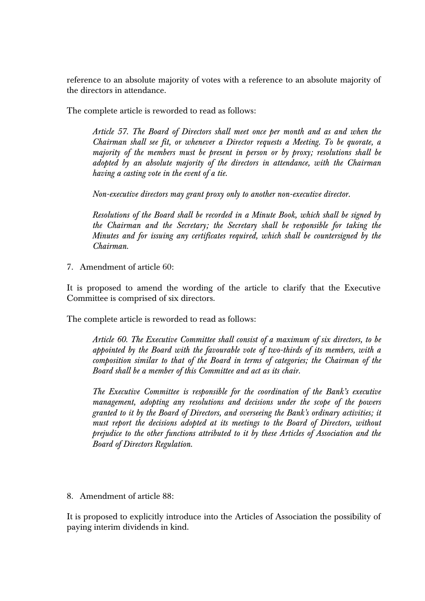reference to an absolute majority of votes with a reference to an absolute majority of the directors in attendance.

The complete article is reworded to read as follows:

*Article 57. The Board of Directors shall meet once per month and as and when the Chairman shall see fit, or whenever a Director requests a Meeting. To be quorate, a majority of the members must be present in person or by proxy; resolutions shall be adopted by an absolute majority of the directors in attendance, with the Chairman having a casting vote in the event of a tie.* 

*Non-executive directors may grant proxy only to another non-executive director.* 

*Resolutions of the Board shall be recorded in a Minute Book, which shall be signed by the Chairman and the Secretary; the Secretary shall be responsible for taking the Minutes and for issuing any certificates required, which shall be countersigned by the Chairman.* 

7. Amendment of article 60:

It is proposed to amend the wording of the article to clarify that the Executive Committee is comprised of six directors.

The complete article is reworded to read as follows:

*Article 60. The Executive Committee shall consist of a maximum of six directors, to be appointed by the Board with the favourable vote of two-thirds of its members, with a composition similar to that of the Board in terms of categories; the Chairman of the Board shall be a member of this Committee and act as its chair.* 

*The Executive Committee is responsible for the coordination of the Bank's executive management, adopting any resolutions and decisions under the scope of the powers granted to it by the Board of Directors, and overseeing the Bank's ordinary activities; it must report the decisions adopted at its meetings to the Board of Directors, without prejudice to the other functions attributed to it by these Articles of Association and the Board of Directors Regulation.* 

8. Amendment of article 88:

It is proposed to explicitly introduce into the Articles of Association the possibility of paying interim dividends in kind.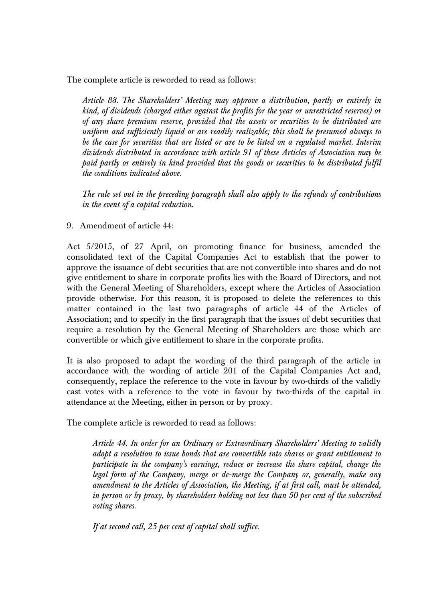The complete article is reworded to read as follows:

*Article 88. The Shareholders' Meeting may approve a distribution, partly or entirely in kind, of dividends (charged either against the profits for the year or unrestricted reserves) or of any share premium reserve, provided that the assets or securities to be distributed are uniform and sufficiently liquid or are readily realizable; this shall be presumed always to be the case for securities that are listed or are to be listed on a regulated market. Interim dividends distributed in accordance with article 91 of these Articles of Association may be*  paid partly or entirely in kind provided that the goods or securities to be distributed fulfil *the conditions indicated above.* 

*The rule set out in the preceding paragraph shall also apply to the refunds of contributions in the event of a capital reduction.* 

9. Amendment of article 44:

Act 5/2015, of 27 April, on promoting finance for business, amended the consolidated text of the Capital Companies Act to establish that the power to approve the issuance of debt securities that are not convertible into shares and do not give entitlement to share in corporate profits lies with the Board of Directors, and not with the General Meeting of Shareholders, except where the Articles of Association provide otherwise. For this reason, it is proposed to delete the references to this matter contained in the last two paragraphs of article 44 of the Articles of Association; and to specify in the first paragraph that the issues of debt securities that require a resolution by the General Meeting of Shareholders are those which are convertible or which give entitlement to share in the corporate profits.

It is also proposed to adapt the wording of the third paragraph of the article in accordance with the wording of article 201 of the Capital Companies Act and, consequently, replace the reference to the vote in favour by two-thirds of the validly cast votes with a reference to the vote in favour by two-thirds of the capital in attendance at the Meeting, either in person or by proxy.

The complete article is reworded to read as follows:

*Article 44. In order for an Ordinary or Extraordinary Shareholders' Meeting to validly adopt a resolution to issue bonds that are convertible into shares or grant entitlement to participate in the company's earnings, reduce or increase the share capital, change the legal form of the Company, merge or de-merge the Company or, generally, make any amendment to the Articles of Association, the Meeting, if at first call, must be attended, in person or by proxy, by shareholders holding not less than 50 per cent of the subscribed voting shares.* 

*If at second call, 25 per cent of capital shall suffice.*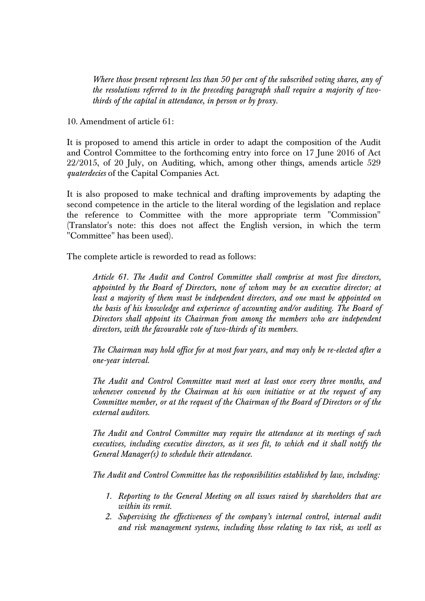*Where those present represent less than 50 per cent of the subscribed voting shares, any of the resolutions referred to in the preceding paragraph shall require a majority of twothirds of the capital in attendance, in person or by proxy.*

10. Amendment of article 61:

It is proposed to amend this article in order to adapt the composition of the Audit and Control Committee to the forthcoming entry into force on 17 June 2016 of Act 22/2015, of 20 July, on Auditing, which, among other things, amends article 529 *quaterdecies* of the Capital Companies Act.

It is also proposed to make technical and drafting improvements by adapting the second competence in the article to the literal wording of the legislation and replace the reference to Committee with the more appropriate term "Commission" (Translator's note: this does not affect the English version, in which the term "Committee" has been used).

The complete article is reworded to read as follows:

*Article 61. The Audit and Control Committee shall comprise at most five directors, appointed by the Board of Directors, none of whom may be an executive director; at least a majority of them must be independent directors, and one must be appointed on the basis of his knowledge and experience of accounting and/or auditing. The Board of Directors shall appoint its Chairman from among the members who are independent directors, with the favourable vote of two-thirds of its members.* 

*The Chairman may hold office for at most four years, and may only be re-elected after a one-year interval.* 

*The Audit and Control Committee must meet at least once every three months, and whenever convened by the Chairman at his own initiative or at the request of any Committee member, or at the request of the Chairman of the Board of Directors or of the external auditors.* 

*The Audit and Control Committee may require the attendance at its meetings of such executives, including executive directors, as it sees fit, to which end it shall notify the General Manager(s) to schedule their attendance.* 

*The Audit and Control Committee has the responsibilities established by law, including:* 

- *1. Reporting to the General Meeting on all issues raised by shareholders that are within its remit.*
- *2. Supervising the effectiveness of the company's internal control, internal audit and risk management systems, including those relating to tax risk, as well as*